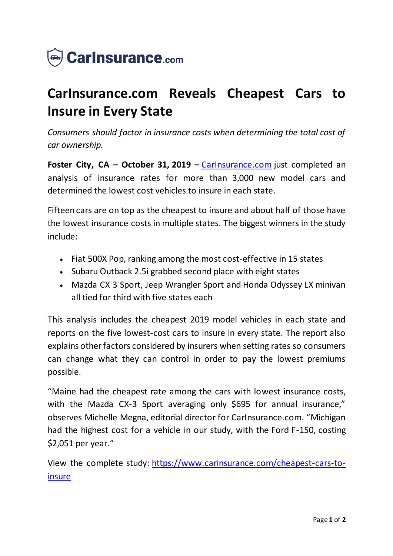

## **CarInsurance.com Reveals Cheapest Cars to Insure in Every State**

*Consumers should factor in insurance costs when determining the total cost of car ownership.*

**Foster City, CA – October 31, 2019 –** [CarInsurance.com](https://www.carinsurance.com/) just completed an analysis of insurance rates for more than 3,000 new model cars and determined the lowest cost vehicles to insure in each state.

Fifteen cars are on top as the cheapest to insure and about half of those have the lowest insurance costs in multiple states. The biggest winners in the study include:

- Fiat 500X Pop, ranking among the most cost-effective in 15 states
- Subaru Outback 2.5 grabbed second place with eight states
- Mazda CX 3 Sport, Jeep Wrangler Sport and Honda Odyssey LX minivan all tied for third with five states each

This analysis includes the cheapest 2019 model vehicles in each state and reports on the five lowest-cost cars to insure in every state. The report also explains other factors considered by insurers when setting rates so consumers can change what they can control in order to pay the lowest premiums possible.

"Maine had the cheapest rate among the cars with lowest insurance costs, with the Mazda CX-3 Sport averaging only \$695 for annual insurance," observes Michelle Megna, editorial director for CarInsurance.com. "Michigan had the highest cost for a vehicle in our study, with the Ford F-150, costing \$2,051 per year."

View the complete study: h[ttps://www.carinsurance.com/cheapest-cars-to](https://www.carinsurance.com/cheapest-cars-to-insure)[insure](https://www.carinsurance.com/cheapest-cars-to-insure)